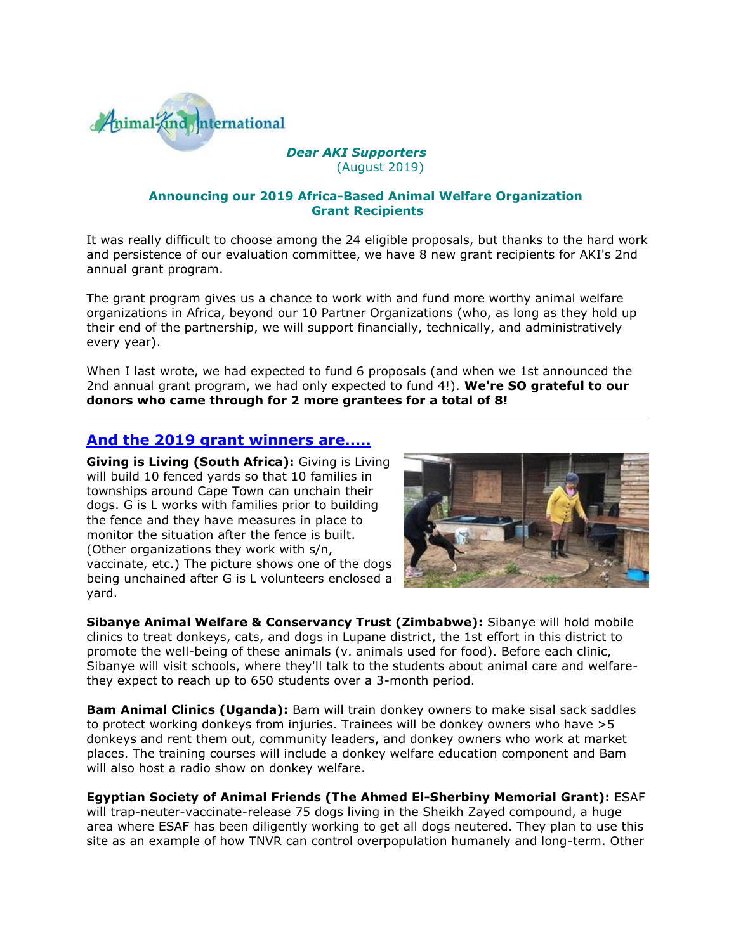

#### *[D](http://cts.vresp.com/c/?AnimalKindInternatio/75aefe3bb5/4d75da415c/b262b5db71)ear AKI Supporters* (August 2019)

#### **Announcing our 2019 Africa-Based Animal Welfare Organization Grant Recipients**

It was really difficult to choose among the 24 eligible proposals, but thanks to the hard work and persistence of our evaluation committee, we have 8 new grant recipients for AKI's 2nd annual grant program.

The grant program gives us a chance to work with and fund more worthy animal welfare organizations in Africa, beyond our 10 Partner Organizations (who, as long as they hold up their end of the partnership, we will support financially, technically, and administratively every year).

When I last wrote, we had expected to fund 6 proposals (and when we 1st announced the 2nd annual grant program, we had only expected to fund 4!). **We're SO grateful to our donors who came through for 2 more grantees for a total of 8!**

### **[And the 2019 grant winners are.....](http://cts.vresp.com/c/?AnimalKindInternatio/75aefe3bb5/4d75da415c/8ed4d63a9f)**

**Giving is Living (South Africa):** Giving is Living will build 10 fenced yards so that 10 families in townships around Cape Town can unchain their dogs. G is L works with families prior to building the fence and they have measures in place to monitor the situation after the fence is built. (Other organizations they work with s/n, vaccinate, etc.) The picture shows one of the dogs being unchained after G is L volunteers enclosed a yard.



**Sibanye Animal Welfare & Conservancy Trust (Zimbabwe):** Sibanye will hold mobile clinics to treat donkeys, cats, and dogs in Lupane district, the 1st effort in this district to promote the well-being of these animals (v. animals used for food). Before each clinic, Sibanye will visit schools, where they'll talk to the students about animal care and welfarethey expect to reach up to 650 students over a 3-month period.

**Bam Animal Clinics (Uganda):** Bam will train donkey owners to make sisal sack saddles to protect working donkeys from injuries. Trainees will be donkey owners who have >5 donkeys and rent them out, community leaders, and donkey owners who work at market places. The training courses will include a donkey welfare education component and Bam will also host a radio show on donkey welfare.

### **Egyptian Society of Animal Friends (The Ahmed El-Sherbiny Memorial Grant):** ESAF

will trap-neuter-vaccinate-release 75 dogs living in the Sheikh Zayed compound, a huge area where ESAF has been diligently working to get all dogs neutered. They plan to use this site as an example of how TNVR can control overpopulation humanely and long-term. Other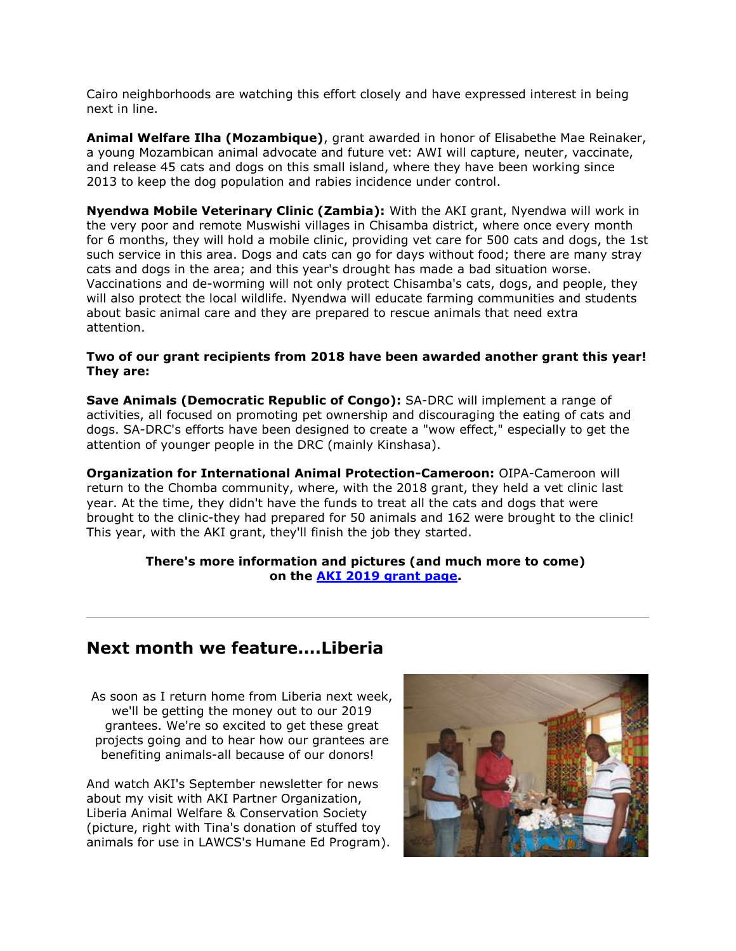Cairo neighborhoods are watching this effort closely and have expressed interest in being next in line.

**Animal Welfare Ilha (Mozambique)**, grant awarded in honor of Elisabethe Mae Reinaker, a young Mozambican animal advocate and future vet: AWI will capture, neuter, vaccinate, and release 45 cats and dogs on this small island, where they have been working since 2013 to keep the dog population and rabies incidence under control.

**Nyendwa Mobile Veterinary Clinic (Zambia):** With the AKI grant, Nyendwa will work in the very poor and remote Muswishi villages in Chisamba district, where once every month for 6 months, they will hold a mobile clinic, providing vet care for 500 cats and dogs, the 1st such service in this area. Dogs and cats can go for days without food; there are many stray cats and dogs in the area; and this year's drought has made a bad situation worse. Vaccinations and de-worming will not only protect Chisamba's cats, dogs, and people, they will also protect the local wildlife. Nyendwa will educate farming communities and students about basic animal care and they are prepared to rescue animals that need extra attention.

#### **Two of our grant recipients from 2018 have been awarded another grant this year! They are:**

**Save Animals (Democratic Republic of Congo):** SA-DRC will implement a range of activities, all focused on promoting pet ownership and discouraging the eating of cats and dogs. SA-DRC's efforts have been designed to create a "wow effect," especially to get the attention of younger people in the DRC (mainly Kinshasa).

**Organization for International Animal Protection-Cameroon:** OIPA-Cameroon will return to the Chomba community, where, with the 2018 grant, they held a vet clinic last year. At the time, they didn't have the funds to treat all the cats and dogs that were brought to the clinic-they had prepared for 50 animals and 162 were brought to the clinic! This year, with the AKI grant, they'll finish the job they started.

#### **There's more information and pictures (and much more to come) on the [AKI 2019 grant page.](http://cts.vresp.com/c/?AnimalKindInternatio/75aefe3bb5/4d75da415c/fc06dffd3c)**

# **Next month we feature....Liberia**

As soon as I return home from Liberia next week, we'll be getting the money out to our 2019 grantees. We're so excited to get these great projects going and to hear how our grantees are benefiting animals-all because of our donors!

And watch AKI's September newsletter for news about my visit with AKI Partner Organization, Liberia Animal Welfare & Conservation Society (picture, right with Tina's donation of stuffed toy animals for use in LAWCS's Humane Ed Program)[.](http://hosted.verticalresponse.com/585333/75aefe3bb5/284351439/4d75da415c/)

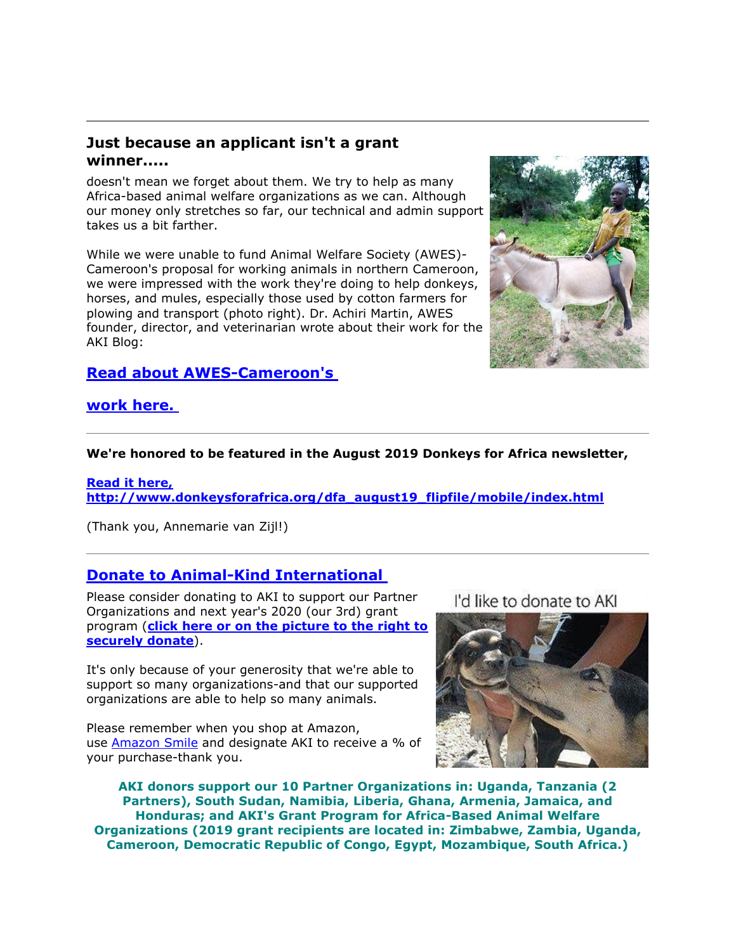## **Just because an applicant isn't a grant winner.....**

doesn't mean we forget about them. We try to help as many Africa-based animal welfare organizations as we can. Although our money only stretches so far, our technical and admin support takes us a bit farther.

While we were unable to fund Animal Welfare Society (AWES)- Cameroon's proposal for working animals in northern Cameroon, we were impressed with the work they're doing to help donkeys, horses, and mules, especially those used by cotton farmers for plowing and transport (photo right). Dr. Achiri Martin, AWES founder, director, and veterinarian wrote about their work for the AKI Blog:

# **[Read about](http://cts.vresp.com/c/?AnimalKindInternatio/75aefe3bb5/4d75da415c/e5d8fd857e) [AWES-Cameroon's](http://cts.vresp.com/c/?AnimalKindInternatio/75aefe3bb5/4d75da415c/e5d8fd857e)**



## **[work here.](http://cts.vresp.com/c/?AnimalKindInternatio/75aefe3bb5/4d75da415c/2a8727d809)**

#### **We're honored to be featured in the August 2019 Donkeys for Africa newsletter,**

**[Read it here,](http://cts.vresp.com/c/?AnimalKindInternatio/75aefe3bb5/4d75da415c/9eea367d84)  [http://www.donkeysforafrica.org/dfa\\_august19\\_flipfile/mobile/index.html](http://cts.vresp.com/c/?AnimalKindInternatio/75aefe3bb5/4d75da415c/9eea367d84)**

(Thank you, Annemarie van Zijl!)

# **[Donate to Animal-Kind International](http://cts.vresp.com/c/?AnimalKindInternatio/75aefe3bb5/4d75da415c/d20e6d47fe)**

Please consider donating to AKI to support our Partner Organizations and next year's 2020 (our 3rd) grant program (**[click here or on the picture to the right to](http://cts.vresp.com/c/?AnimalKindInternatio/75aefe3bb5/4d75da415c/6c73625ba1)  [securely donate](http://cts.vresp.com/c/?AnimalKindInternatio/75aefe3bb5/4d75da415c/6c73625ba1)**).

It's only because of your generosity that we're able to support so many organizations-and that our supported organizations are able to help so many animals.

Please remember when you shop at Amazon, use [Amazon Smile](http://cts.vresp.com/c/?AnimalKindInternatio/75aefe3bb5/4d75da415c/9c205edc38) and designate AKI to receive a % of your purchase-thank you.

I'd like to donate to AKI



**AKI donors support our 10 Partner Organizations in: Uganda, Tanzania (2 Partners), South Sudan, Namibia, Liberia, Ghana, Armenia, Jamaica, and Honduras; and AKI's Grant Program for Africa-Based Animal Welfare Organizations (2019 grant recipients are located in: Zimbabwe, Zambia, Uganda, Cameroon, Democratic Republic of Congo, Egypt, Mozambique, South Africa.)**